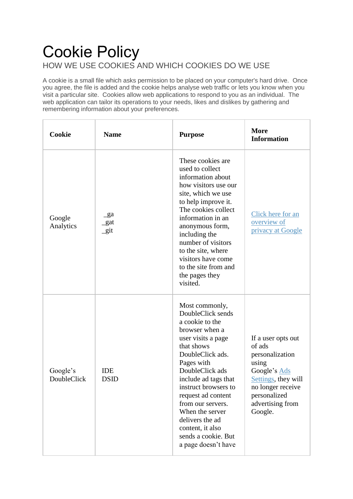## Cookie Policy HOW WE USE COOKIES AND WHICH COOKIES DO WE USE

A cookie is a small file which asks permission to be placed on your computer's hard drive. Once you agree, the file is added and the cookie helps analyse web traffic or lets you know when you visit a particular site. Cookies allow web applications to respond to you as an individual. The web application can tailor its operations to your needs, likes and dislikes by gathering and remembering information about your preferences.

| Cookie                  | <b>Name</b>               | <b>Purpose</b>                                                                                                                                                                                                                                                                                                                                                       | <b>More</b><br><b>Information</b>                                                                                                                                   |
|-------------------------|---------------------------|----------------------------------------------------------------------------------------------------------------------------------------------------------------------------------------------------------------------------------------------------------------------------------------------------------------------------------------------------------------------|---------------------------------------------------------------------------------------------------------------------------------------------------------------------|
| Google<br>Analytics     | $\_ga$<br>_gat<br>$\_git$ | These cookies are.<br>used to collect<br>information about<br>how visitors use our<br>site, which we use<br>to help improve it.<br>The cookies collect<br>information in an<br>anonymous form,<br>including the<br>number of visitors<br>to the site, where<br>visitors have come<br>to the site from and<br>the pages they<br>visited.                              | Click here for an<br>overview of<br>privacy at Google                                                                                                               |
| Google's<br>DoubleClick | <b>IDE</b><br><b>DSID</b> | Most commonly,<br>DoubleClick sends<br>a cookie to the<br>browser when a<br>user visits a page<br>that shows<br>DoubleClick ads.<br>Pages with<br>DoubleClick ads<br>include ad tags that<br>instruct browsers to<br>request ad content<br>from our servers.<br>When the server<br>delivers the ad<br>content, it also<br>sends a cookie. But<br>a page doesn't have | If a user opts out<br>of ads<br>personalization<br>using<br>Google's Ads<br>Settings, they will<br>no longer receive<br>personalized<br>advertising from<br>Google. |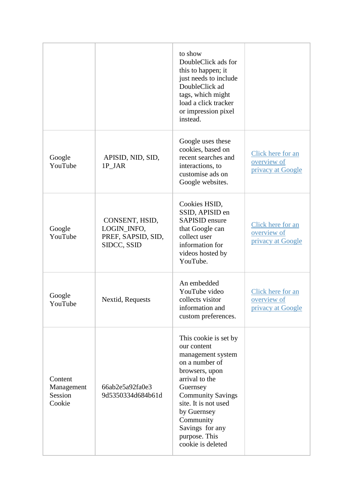|                                            |                                                                    | to show<br>DoubleClick ads for<br>this to happen; it<br>just needs to include<br>DoubleClick ad<br>tags, which might<br>load a click tracker<br>or impression pixel<br>instead.                                                                                      |                                                       |
|--------------------------------------------|--------------------------------------------------------------------|----------------------------------------------------------------------------------------------------------------------------------------------------------------------------------------------------------------------------------------------------------------------|-------------------------------------------------------|
| Google<br>YouTube                          | APISID, NID, SID,<br>1P_JAR                                        | Google uses these<br>cookies, based on<br>recent searches and<br>interactions, to<br>customise ads on<br>Google websites.                                                                                                                                            | Click here for an<br>overview of<br>privacy at Google |
| Google<br>YouTube                          | CONSENT, HSID,<br>LOGIN_INFO,<br>PREF, SAPSID, SID,<br>SIDCC, SSID | Cookies HSID,<br>SSID, APISID en<br><b>SAPISID</b> ensure<br>that Google can<br>collect user<br>information for<br>videos hosted by<br>YouTube.                                                                                                                      | Click here for an<br>overview of<br>privacy at Google |
| Google<br>YouTube                          | Nextid, Requests                                                   | An embedded<br>YouTube video<br>collects visitor<br>information and<br>custom preferences.                                                                                                                                                                           | Click here for an<br>overview of<br>privacy at Google |
| Content<br>Management<br>Session<br>Cookie | 66ab2e5a92fa0e3<br>9d5350334d684b61d                               | This cookie is set by<br>our content<br>management system<br>on a number of<br>browsers, upon<br>arrival to the<br>Guernsey<br><b>Community Savings</b><br>site. It is not used<br>by Guernsey<br>Community<br>Savings for any<br>purpose. This<br>cookie is deleted |                                                       |